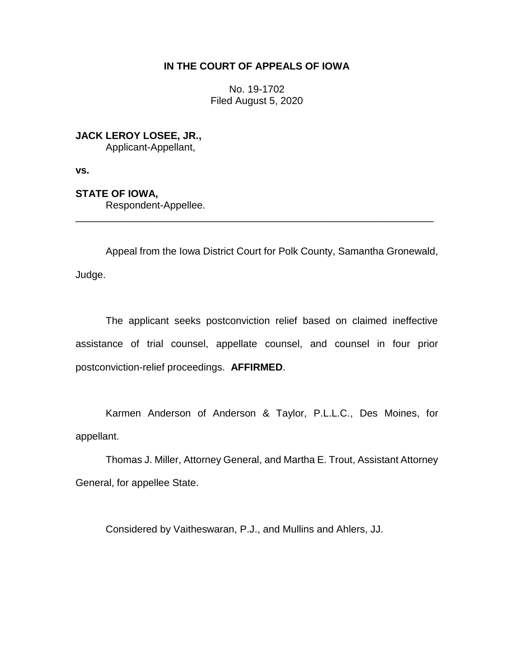# **IN THE COURT OF APPEALS OF IOWA**

No. 19-1702 Filed August 5, 2020

**JACK LEROY LOSEE, JR.,**

Applicant-Appellant,

**vs.**

**STATE OF IOWA,**

Respondent-Appellee.

Appeal from the Iowa District Court for Polk County, Samantha Gronewald, Judge.

\_\_\_\_\_\_\_\_\_\_\_\_\_\_\_\_\_\_\_\_\_\_\_\_\_\_\_\_\_\_\_\_\_\_\_\_\_\_\_\_\_\_\_\_\_\_\_\_\_\_\_\_\_\_\_\_\_\_\_\_\_\_\_\_

The applicant seeks postconviction relief based on claimed ineffective assistance of trial counsel, appellate counsel, and counsel in four prior postconviction-relief proceedings. **AFFIRMED**.

Karmen Anderson of Anderson & Taylor, P.L.L.C., Des Moines, for appellant.

Thomas J. Miller, Attorney General, and Martha E. Trout, Assistant Attorney General, for appellee State.

Considered by Vaitheswaran, P.J., and Mullins and Ahlers, JJ.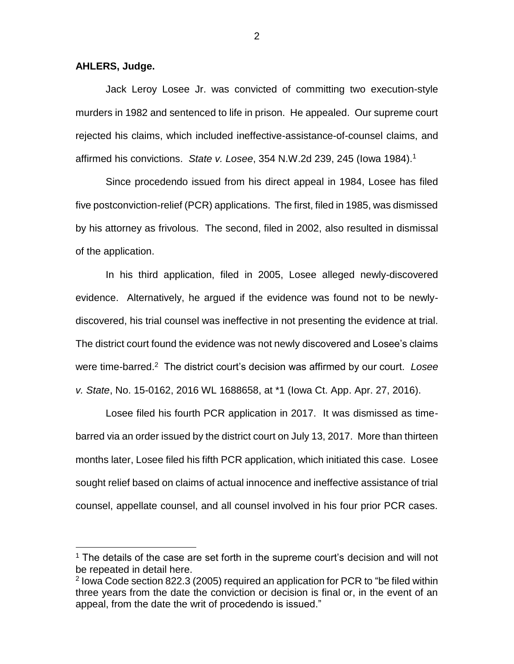#### **AHLERS, Judge.**

 $\overline{a}$ 

Jack Leroy Losee Jr. was convicted of committing two execution-style murders in 1982 and sentenced to life in prison. He appealed. Our supreme court rejected his claims, which included ineffective-assistance-of-counsel claims, and affirmed his convictions. *State v. Losee*, 354 N.W.2d 239, 245 (Iowa 1984).<sup>1</sup>

Since procedendo issued from his direct appeal in 1984, Losee has filed five postconviction-relief (PCR) applications. The first, filed in 1985, was dismissed by his attorney as frivolous. The second, filed in 2002, also resulted in dismissal of the application.

In his third application, filed in 2005, Losee alleged newly-discovered evidence. Alternatively, he argued if the evidence was found not to be newlydiscovered, his trial counsel was ineffective in not presenting the evidence at trial. The district court found the evidence was not newly discovered and Losee's claims were time-barred.<sup>2</sup> The district court's decision was affirmed by our court. Losee *v. State*, No. 15-0162, 2016 WL 1688658, at \*1 (Iowa Ct. App. Apr. 27, 2016).

Losee filed his fourth PCR application in 2017. It was dismissed as timebarred via an order issued by the district court on July 13, 2017. More than thirteen months later, Losee filed his fifth PCR application, which initiated this case. Losee sought relief based on claims of actual innocence and ineffective assistance of trial counsel, appellate counsel, and all counsel involved in his four prior PCR cases.

<sup>&</sup>lt;sup>1</sup> The details of the case are set forth in the supreme court's decision and will not be repeated in detail here.

<sup>&</sup>lt;sup>2</sup> lowa Code section 822.3 (2005) required an application for PCR to "be filed within three years from the date the conviction or decision is final or, in the event of an appeal, from the date the writ of procedendo is issued."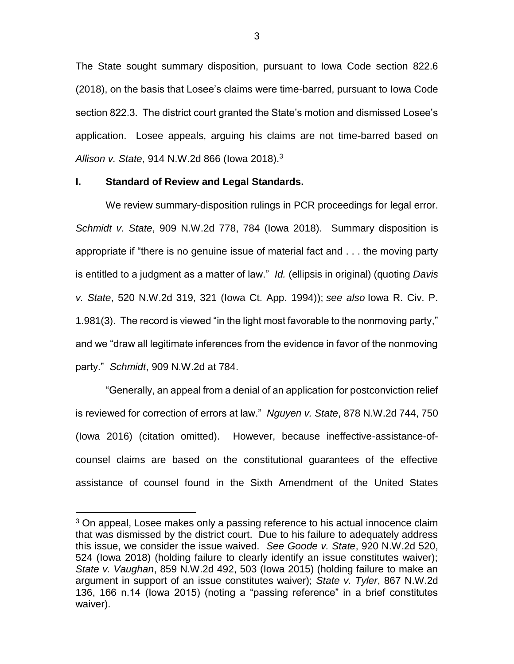The State sought summary disposition, pursuant to Iowa Code section 822.6 (2018), on the basis that Losee's claims were time-barred, pursuant to Iowa Code section 822.3. The district court granted the State's motion and dismissed Losee's application. Losee appeals, arguing his claims are not time-barred based on *Allison v. State*, 914 N.W.2d 866 (Iowa 2018).<sup>3</sup>

### **I. Standard of Review and Legal Standards.**

 $\overline{a}$ 

We review summary-disposition rulings in PCR proceedings for legal error. *Schmidt v. State*, 909 N.W.2d 778, 784 (Iowa 2018). Summary disposition is appropriate if "there is no genuine issue of material fact and . . . the moving party is entitled to a judgment as a matter of law." *Id.* (ellipsis in original) (quoting *Davis v. State*, 520 N.W.2d 319, 321 (Iowa Ct. App. 1994)); *see also* Iowa R. Civ. P. 1.981(3). The record is viewed "in the light most favorable to the nonmoving party," and we "draw all legitimate inferences from the evidence in favor of the nonmoving party." *Schmidt*, 909 N.W.2d at 784.

"Generally, an appeal from a denial of an application for postconviction relief is reviewed for correction of errors at law." *Nguyen v. State*, 878 N.W.2d 744, 750 (Iowa 2016) (citation omitted). However, because ineffective-assistance-ofcounsel claims are based on the constitutional guarantees of the effective assistance of counsel found in the Sixth Amendment of the United States

 $3$  On appeal, Losee makes only a passing reference to his actual innocence claim that was dismissed by the district court. Due to his failure to adequately address this issue, we consider the issue waived. *See Goode v. State*, 920 N.W.2d 520, 524 (Iowa 2018) (holding failure to clearly identify an issue constitutes waiver); *State v. Vaughan*, 859 N.W.2d 492, 503 (Iowa 2015) (holding failure to make an argument in support of an issue constitutes waiver); *State v. Tyler*, 867 N.W.2d 136, 166 n.14 (Iowa 2015) (noting a "passing reference" in a brief constitutes waiver).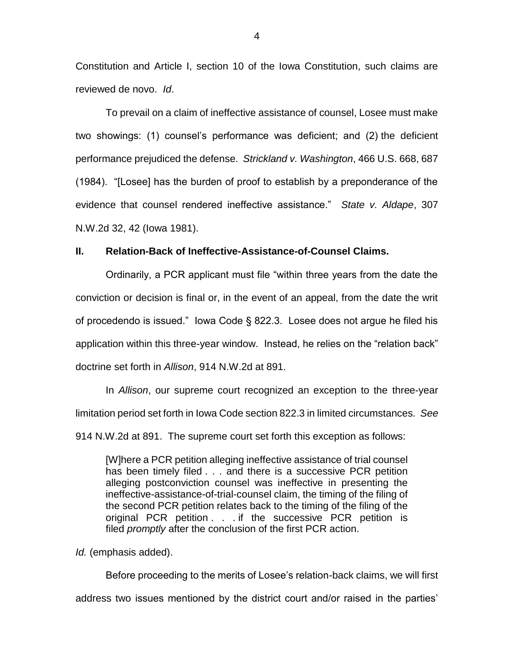Constitution and Article I, section 10 of the Iowa Constitution, such claims are reviewed de novo. *Id*.

To prevail on a claim of ineffective assistance of counsel, Losee must make two showings: (1) counsel's performance was deficient; and (2) the deficient performance prejudiced the defense. *Strickland v. Washington*, 466 U.S. 668, 687 (1984). "[Losee] has the burden of proof to establish by a preponderance of the evidence that counsel rendered ineffective assistance." *State v. Aldape*, 307 N.W.2d 32, 42 (Iowa 1981).

#### **II. Relation-Back of Ineffective-Assistance-of-Counsel Claims.**

Ordinarily, a PCR applicant must file "within three years from the date the conviction or decision is final or, in the event of an appeal, from the date the writ of procedendo is issued." Iowa Code § 822.3. Losee does not argue he filed his application within this three-year window. Instead, he relies on the "relation back" doctrine set forth in *Allison*, 914 N.W.2d at 891.

In *Allison*, our supreme court recognized an exception to the three-year limitation period set forth in Iowa Code section 822.3 in limited circumstances. *See*  914 N.W.2d at 891. The supreme court set forth this exception as follows:

[W]here a PCR petition alleging ineffective assistance of trial counsel has been timely filed . . . and there is a successive PCR petition alleging postconviction counsel was ineffective in presenting the ineffective-assistance-of-trial-counsel claim, the timing of the filing of the second PCR petition relates back to the timing of the filing of the original PCR petition . . . if the successive PCR petition is filed *promptly* after the conclusion of the first PCR action.

*Id.* (emphasis added).

Before proceeding to the merits of Losee's relation-back claims, we will first address two issues mentioned by the district court and/or raised in the parties'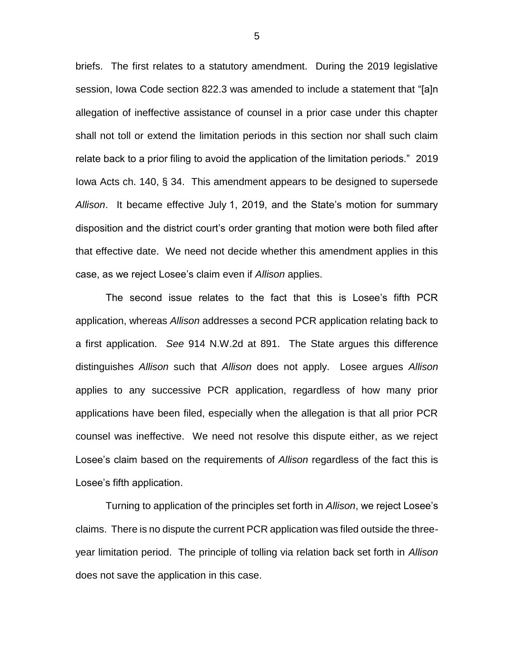briefs. The first relates to a statutory amendment. During the 2019 legislative session, Iowa Code section 822.3 was amended to include a statement that "[a]n allegation of ineffective assistance of counsel in a prior case under this chapter shall not toll or extend the limitation periods in this section nor shall such claim relate back to a prior filing to avoid the application of the limitation periods." 2019 Iowa Acts ch. 140, § 34. This amendment appears to be designed to supersede *Allison*. It became effective July 1, 2019, and the State's motion for summary disposition and the district court's order granting that motion were both filed after that effective date. We need not decide whether this amendment applies in this case, as we reject Losee's claim even if *Allison* applies.

The second issue relates to the fact that this is Losee's fifth PCR application, whereas *Allison* addresses a second PCR application relating back to a first application. *See* 914 N.W.2d at 891. The State argues this difference distinguishes *Allison* such that *Allison* does not apply. Losee argues *Allison* applies to any successive PCR application, regardless of how many prior applications have been filed, especially when the allegation is that all prior PCR counsel was ineffective. We need not resolve this dispute either, as we reject Losee's claim based on the requirements of *Allison* regardless of the fact this is Losee's fifth application.

Turning to application of the principles set forth in *Allison*, we reject Losee's claims. There is no dispute the current PCR application was filed outside the threeyear limitation period. The principle of tolling via relation back set forth in *Allison* does not save the application in this case.

5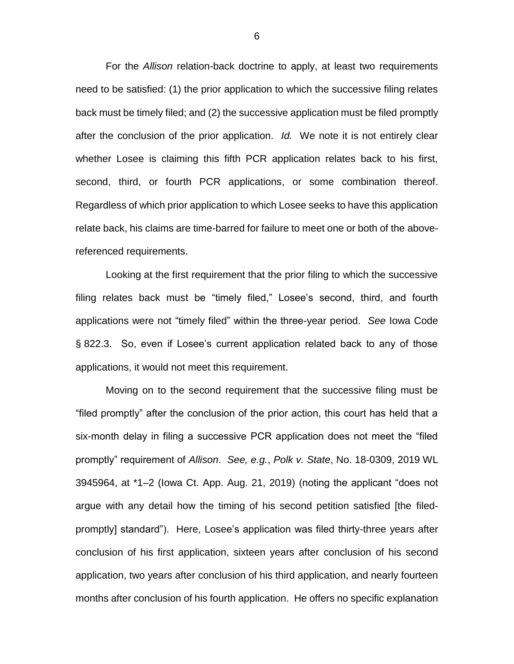For the *Allison* relation-back doctrine to apply, at least two requirements need to be satisfied: (1) the prior application to which the successive filing relates back must be timely filed; and (2) the successive application must be filed promptly after the conclusion of the prior application. *Id.* We note it is not entirely clear whether Losee is claiming this fifth PCR application relates back to his first, second, third, or fourth PCR applications, or some combination thereof. Regardless of which prior application to which Losee seeks to have this application relate back, his claims are time-barred for failure to meet one or both of the abovereferenced requirements.

Looking at the first requirement that the prior filing to which the successive filing relates back must be "timely filed," Losee's second, third, and fourth applications were not "timely filed" within the three-year period. *See* Iowa Code § 822.3. So, even if Losee's current application related back to any of those applications, it would not meet this requirement.

Moving on to the second requirement that the successive filing must be "filed promptly" after the conclusion of the prior action, this court has held that a six-month delay in filing a successive PCR application does not meet the "filed promptly" requirement of *Allison*. *See, e.g.*, *Polk v. State*, No. 18-0309, 2019 WL 3945964, at \*1–2 (Iowa Ct. App. Aug. 21, 2019) (noting the applicant "does not argue with any detail how the timing of his second petition satisfied [the filedpromptly] standard"). Here, Losee's application was filed thirty-three years after conclusion of his first application, sixteen years after conclusion of his second application, two years after conclusion of his third application, and nearly fourteen months after conclusion of his fourth application. He offers no specific explanation